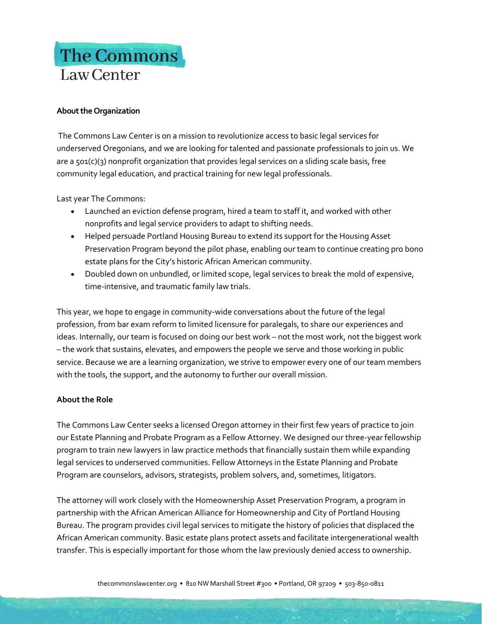## The Commons Law Center

## **About the Organization**

The Commons Law Center is on a mission to revolutionize access to basic legal services for underserved Oregonians, and we are looking for talented and passionate professionals to join us. We are a 501(c)(3) nonprofit organization that provides legal services on a sliding scale basis, free community legal education, and practical training for new legal professionals.

Last year The Commons:

- Launched an eviction defense program, hired a team to staff it, and worked with other nonprofits and legal service providers to adapt to shifting needs.
- Helped persuade Portland Housing Bureau to extend its support for the Housing Asset Preservation Program beyond the pilot phase, enabling our team to continue creating pro bono estate plans for the City's historic African American community.
- Doubled down on unbundled, or limited scope, legal services to break the mold of expensive, time-intensive, and traumatic family law trials.

This year, we hope to engage in community-wide conversations about the future of the legal profession, from bar exam reform to limited licensure for paralegals, to share our experiences and ideas. Internally, our team is focused on doing our best work – not the most work, not the biggest work – the work that sustains, elevates, and empowers the people we serve and those working in public service. Because we are a learning organization, we strive to empower every one of our team members with the tools, the support, and the autonomy to further our overall mission.

## **About the Role**

The Commons Law Center seeks a licensed Oregon attorney in their first few years of practice to join our Estate Planning and Probate Program as a Fellow Attorney. We designed our three-year fellowship program to train new lawyers in law practice methods that financially sustain them while expanding legal services to underserved communities. Fellow Attorneys in the Estate Planning and Probate Program are counselors, advisors, strategists, problem solvers, and, sometimes, litigators.

The attorney will work closely with the Homeownership Asset Preservation Program, a program in partnership with the African American Alliance for Homeownership and City of Portland Housing Bureau. The program provides civil legal services to mitigate the history of policies that displaced the African American community. Basic estate plans protect assets and facilitate intergenerational wealth transfer. This is especially important for those whom the law previously denied access to ownership.